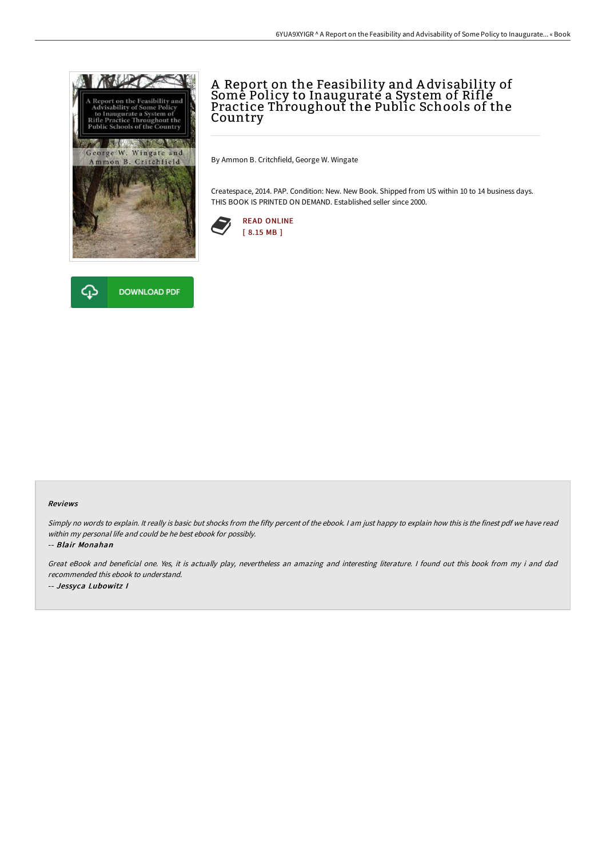

## A Report on the Feasibility and A dvisability of Some Policy to Inaugurate a System of Rifle Practice Throughout the Public Schools of the Country

By Ammon B. Critchfield, George W. Wingate

Createspace, 2014. PAP. Condition: New. New Book. Shipped from US within 10 to 14 business days. THIS BOOK IS PRINTED ON DEMAND. Established seller since 2000.





## Reviews

Simply no words to explain. It really is basic but shocks from the fifty percent of the ebook. I am just happy to explain how this is the finest pdf we have read within my personal life and could be he best ebook for possibly.

-- Blair Monahan

Great eBook and beneficial one. Yes, it is actually play, nevertheless an amazing and interesting literature. <sup>I</sup> found out this book from my i and dad recommended this ebook to understand. -- Jessyca Lubowitz I